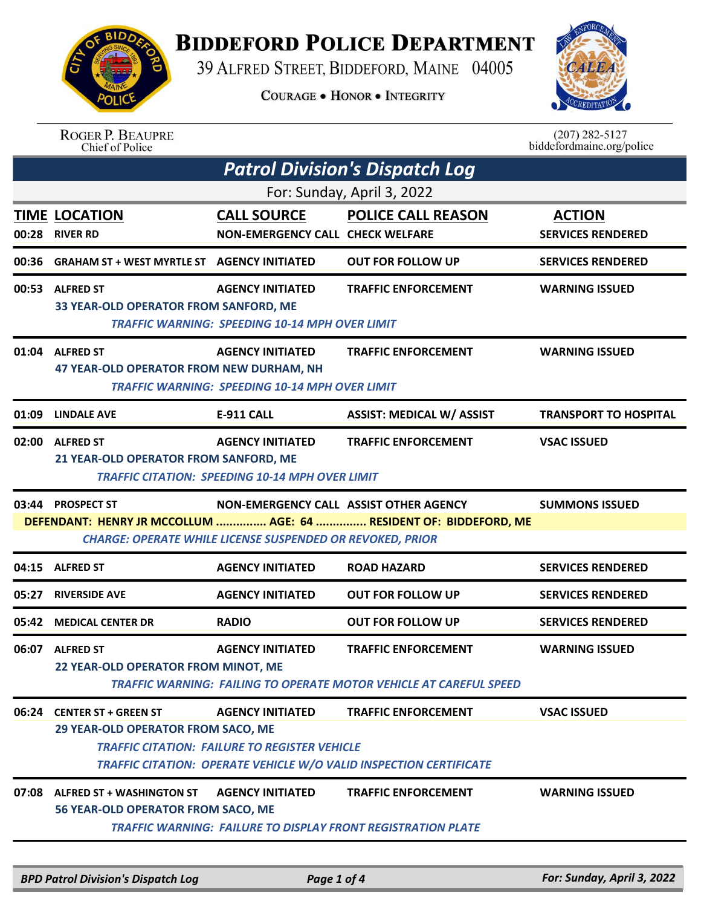

## **BIDDEFORD POLICE DEPARTMENT**

39 ALFRED STREET, BIDDEFORD, MAINE 04005

**COURAGE . HONOR . INTEGRITY** 



## ROGER P. BEAUPRE<br>Chief of Police

 $(207)$  282-5127<br>biddefordmaine.org/police

| <b>Patrol Division's Dispatch Log</b> |                                                                                                                                       |                                                                                   |                                                                                                         |                                           |  |  |
|---------------------------------------|---------------------------------------------------------------------------------------------------------------------------------------|-----------------------------------------------------------------------------------|---------------------------------------------------------------------------------------------------------|-------------------------------------------|--|--|
| For: Sunday, April 3, 2022            |                                                                                                                                       |                                                                                   |                                                                                                         |                                           |  |  |
| 00:28                                 | <b>TIME LOCATION</b><br><b>RIVER RD</b>                                                                                               | <b>CALL SOURCE</b><br><b>NON-EMERGENCY CALL CHECK WELFARE</b>                     | <b>POLICE CALL REASON</b>                                                                               | <b>ACTION</b><br><b>SERVICES RENDERED</b> |  |  |
| 00:36                                 | <b>GRAHAM ST + WEST MYRTLE ST AGENCY INITIATED</b>                                                                                    |                                                                                   | <b>OUT FOR FOLLOW UP</b>                                                                                | <b>SERVICES RENDERED</b>                  |  |  |
|                                       | 00:53 ALFRED ST<br>33 YEAR-OLD OPERATOR FROM SANFORD, ME                                                                              | <b>AGENCY INITIATED</b><br><b>TRAFFIC WARNING: SPEEDING 10-14 MPH OVER LIMIT</b>  | <b>TRAFFIC ENFORCEMENT</b>                                                                              | <b>WARNING ISSUED</b>                     |  |  |
|                                       | 01:04 ALFRED ST<br>47 YEAR-OLD OPERATOR FROM NEW DURHAM, NH                                                                           | <b>AGENCY INITIATED</b><br><b>TRAFFIC WARNING: SPEEDING 10-14 MPH OVER LIMIT</b>  | <b>TRAFFIC ENFORCEMENT</b>                                                                              | <b>WARNING ISSUED</b>                     |  |  |
| 01:09                                 | <b>LINDALE AVE</b>                                                                                                                    | <b>E-911 CALL</b>                                                                 | <b>ASSIST: MEDICAL W/ ASSIST</b>                                                                        | <b>TRANSPORT TO HOSPITAL</b>              |  |  |
|                                       | 02:00 ALFRED ST<br>21 YEAR-OLD OPERATOR FROM SANFORD, ME                                                                              | <b>AGENCY INITIATED</b><br><b>TRAFFIC CITATION: SPEEDING 10-14 MPH OVER LIMIT</b> | <b>TRAFFIC ENFORCEMENT</b>                                                                              | <b>VSAC ISSUED</b>                        |  |  |
| 03:44                                 | <b>PROSPECT ST</b>                                                                                                                    | NON-EMERGENCY CALL ASSIST OTHER AGENCY                                            |                                                                                                         | <b>SUMMONS ISSUED</b>                     |  |  |
|                                       | DEFENDANT: HENRY JR MCCOLLUM  AGE: 64  RESIDENT OF: BIDDEFORD, ME<br><b>CHARGE: OPERATE WHILE LICENSE SUSPENDED OR REVOKED, PRIOR</b> |                                                                                   |                                                                                                         |                                           |  |  |
|                                       | 04:15 ALFRED ST                                                                                                                       | <b>AGENCY INITIATED</b>                                                           | <b>ROAD HAZARD</b>                                                                                      | <b>SERVICES RENDERED</b>                  |  |  |
| 05:27                                 | <b>RIVERSIDE AVE</b>                                                                                                                  | <b>AGENCY INITIATED</b>                                                           | <b>OUT FOR FOLLOW UP</b>                                                                                | <b>SERVICES RENDERED</b>                  |  |  |
| 05:42                                 | <b>MEDICAL CENTER DR</b>                                                                                                              | <b>RADIO</b>                                                                      | <b>OUT FOR FOLLOW UP</b>                                                                                | <b>SERVICES RENDERED</b>                  |  |  |
|                                       | 06:07 ALFRED ST<br>22 YEAR-OLD OPERATOR FROM MINOT, ME                                                                                | <b>AGENCY INITIATED</b>                                                           | <b>TRAFFIC ENFORCEMENT</b><br><b>TRAFFIC WARNING: FAILING TO OPERATE MOTOR VEHICLE AT CAREFUL SPEED</b> | <b>WARNING ISSUED</b>                     |  |  |
|                                       | 06:24 CENTER ST + GREEN ST<br>29 YEAR-OLD OPERATOR FROM SACO, ME                                                                      | <b>AGENCY INITIATED</b><br><b>TRAFFIC CITATION: FAILURE TO REGISTER VEHICLE</b>   | <b>TRAFFIC ENFORCEMENT</b><br><b>TRAFFIC CITATION: OPERATE VEHICLE W/O VALID INSPECTION CERTIFICATE</b> | <b>VSAC ISSUED</b>                        |  |  |
| 07:08                                 | <b>ALFRED ST + WASHINGTON ST</b><br>56 YEAR-OLD OPERATOR FROM SACO, ME                                                                | <b>AGENCY INITIATED</b>                                                           | <b>TRAFFIC ENFORCEMENT</b><br><b>TRAFFIC WARNING: FAILURE TO DISPLAY FRONT REGISTRATION PLATE</b>       | <b>WARNING ISSUED</b>                     |  |  |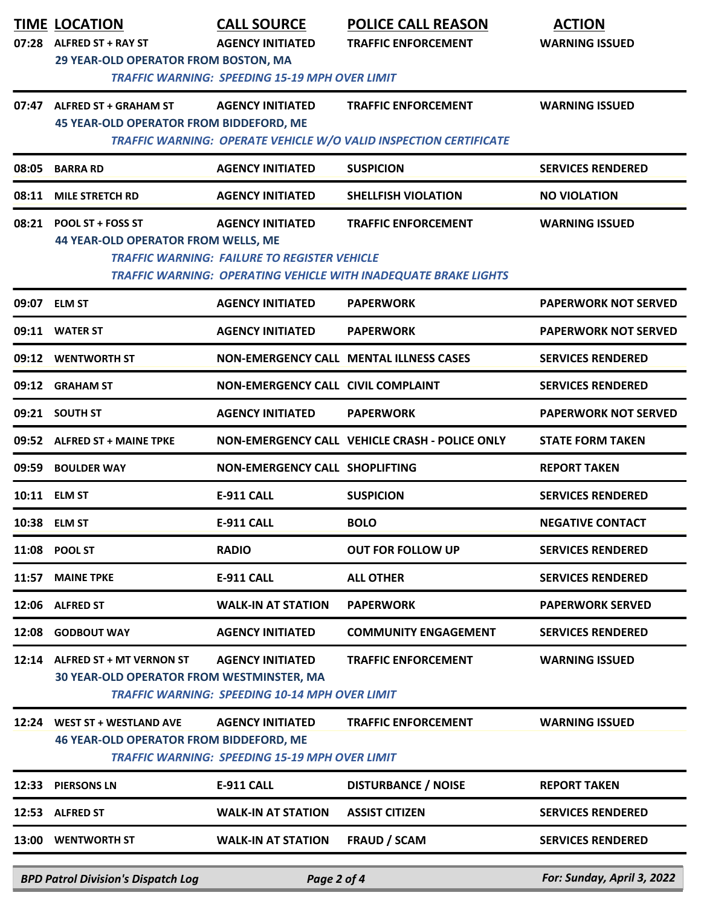|       | <b>TIME LOCATION</b>                                                                                 | <b>CALL SOURCE</b>                                                               | <b>POLICE CALL REASON</b>                                                                            | <b>ACTION</b>               |  |
|-------|------------------------------------------------------------------------------------------------------|----------------------------------------------------------------------------------|------------------------------------------------------------------------------------------------------|-----------------------------|--|
| 07:28 | <b>ALFRED ST + RAY ST</b>                                                                            | <b>AGENCY INITIATED</b>                                                          | <b>TRAFFIC ENFORCEMENT</b>                                                                           | <b>WARNING ISSUED</b>       |  |
|       | <b>29 YEAR-OLD OPERATOR FROM BOSTON, MA</b><br><b>TRAFFIC WARNING: SPEEDING 15-19 MPH OVER LIMIT</b> |                                                                                  |                                                                                                      |                             |  |
| 07:47 | <b>ALFRED ST + GRAHAM ST</b><br><b>45 YEAR-OLD OPERATOR FROM BIDDEFORD, ME</b>                       | <b>AGENCY INITIATED</b>                                                          | <b>TRAFFIC ENFORCEMENT</b>                                                                           | <b>WARNING ISSUED</b>       |  |
|       |                                                                                                      |                                                                                  | <b>TRAFFIC WARNING: OPERATE VEHICLE W/O VALID INSPECTION CERTIFICATE</b>                             |                             |  |
| 08:05 | <b>BARRA RD</b>                                                                                      | <b>AGENCY INITIATED</b>                                                          | <b>SUSPICION</b>                                                                                     | <b>SERVICES RENDERED</b>    |  |
| 08:11 | <b>MILE STRETCH RD</b>                                                                               | <b>AGENCY INITIATED</b>                                                          | <b>SHELLFISH VIOLATION</b>                                                                           | <b>NO VIOLATION</b>         |  |
| 08:21 | <b>POOL ST + FOSS ST</b><br><b>44 YEAR-OLD OPERATOR FROM WELLS, ME</b>                               | <b>AGENCY INITIATED</b><br><b>TRAFFIC WARNING: FAILURE TO REGISTER VEHICLE</b>   | <b>TRAFFIC ENFORCEMENT</b><br><b>TRAFFIC WARNING: OPERATING VEHICLE WITH INADEQUATE BRAKE LIGHTS</b> | <b>WARNING ISSUED</b>       |  |
| 09:07 | <b>ELM ST</b>                                                                                        | <b>AGENCY INITIATED</b>                                                          | <b>PAPERWORK</b>                                                                                     | <b>PAPERWORK NOT SERVED</b> |  |
|       | 09:11 WATER ST                                                                                       | <b>AGENCY INITIATED</b>                                                          | <b>PAPERWORK</b>                                                                                     | <b>PAPERWORK NOT SERVED</b> |  |
|       | 09:12 WENTWORTH ST                                                                                   |                                                                                  | <b>NON-EMERGENCY CALL MENTAL ILLNESS CASES</b>                                                       | <b>SERVICES RENDERED</b>    |  |
|       | 09:12 GRAHAM ST                                                                                      | <b>NON-EMERGENCY CALL CIVIL COMPLAINT</b>                                        |                                                                                                      | <b>SERVICES RENDERED</b>    |  |
|       | 09:21 SOUTH ST                                                                                       | <b>AGENCY INITIATED</b>                                                          | <b>PAPERWORK</b>                                                                                     | <b>PAPERWORK NOT SERVED</b> |  |
|       | 09:52 ALFRED ST + MAINE TPKE                                                                         |                                                                                  | <b>NON-EMERGENCY CALL VEHICLE CRASH - POLICE ONLY</b>                                                | <b>STATE FORM TAKEN</b>     |  |
| 09:59 | <b>BOULDER WAY</b>                                                                                   | <b>NON-EMERGENCY CALL SHOPLIFTING</b>                                            |                                                                                                      | <b>REPORT TAKEN</b>         |  |
|       | 10:11 ELM ST                                                                                         | <b>E-911 CALL</b>                                                                | <b>SUSPICION</b>                                                                                     | <b>SERVICES RENDERED</b>    |  |
|       | 10:38 ELM ST                                                                                         | <b>E-911 CALL</b>                                                                | <b>BOLO</b>                                                                                          | <b>NEGATIVE CONTACT</b>     |  |
|       | 11:08 POOL ST                                                                                        | <b>RADIO</b>                                                                     | <b>OUT FOR FOLLOW UP</b>                                                                             | <b>SERVICES RENDERED</b>    |  |
| 11:57 | <b>MAINE TPKE</b>                                                                                    | <b>E-911 CALL</b>                                                                | <b>ALL OTHER</b>                                                                                     | <b>SERVICES RENDERED</b>    |  |
| 12:06 | <b>ALFRED ST</b>                                                                                     | <b>WALK-IN AT STATION</b>                                                        | <b>PAPERWORK</b>                                                                                     | <b>PAPERWORK SERVED</b>     |  |
| 12:08 | <b>GODBOUT WAY</b>                                                                                   | <b>AGENCY INITIATED</b>                                                          | <b>COMMUNITY ENGAGEMENT</b>                                                                          | <b>SERVICES RENDERED</b>    |  |
| 12:14 | <b>ALFRED ST + MT VERNON ST</b><br>30 YEAR-OLD OPERATOR FROM WESTMINSTER, MA                         | <b>AGENCY INITIATED</b><br><b>TRAFFIC WARNING: SPEEDING 10-14 MPH OVER LIMIT</b> | <b>TRAFFIC ENFORCEMENT</b>                                                                           | <b>WARNING ISSUED</b>       |  |
| 12:24 | <b>WEST ST + WESTLAND AVE</b><br><b>46 YEAR-OLD OPERATOR FROM BIDDEFORD, ME</b>                      | <b>AGENCY INITIATED</b><br><b>TRAFFIC WARNING: SPEEDING 15-19 MPH OVER LIMIT</b> | <b>TRAFFIC ENFORCEMENT</b>                                                                           | <b>WARNING ISSUED</b>       |  |
| 12:33 | <b>PIERSONS LN</b>                                                                                   | <b>E-911 CALL</b>                                                                | <b>DISTURBANCE / NOISE</b>                                                                           | <b>REPORT TAKEN</b>         |  |
| 12:53 | <b>ALFRED ST</b>                                                                                     | <b>WALK-IN AT STATION</b>                                                        | <b>ASSIST CITIZEN</b>                                                                                | <b>SERVICES RENDERED</b>    |  |
| 13:00 | <b>WENTWORTH ST</b>                                                                                  | <b>WALK-IN AT STATION</b>                                                        | <b>FRAUD / SCAM</b>                                                                                  | <b>SERVICES RENDERED</b>    |  |
|       | <b>BPD Patrol Division's Dispatch Log</b>                                                            | Page 2 of 4                                                                      |                                                                                                      | For: Sunday, April 3, 2022  |  |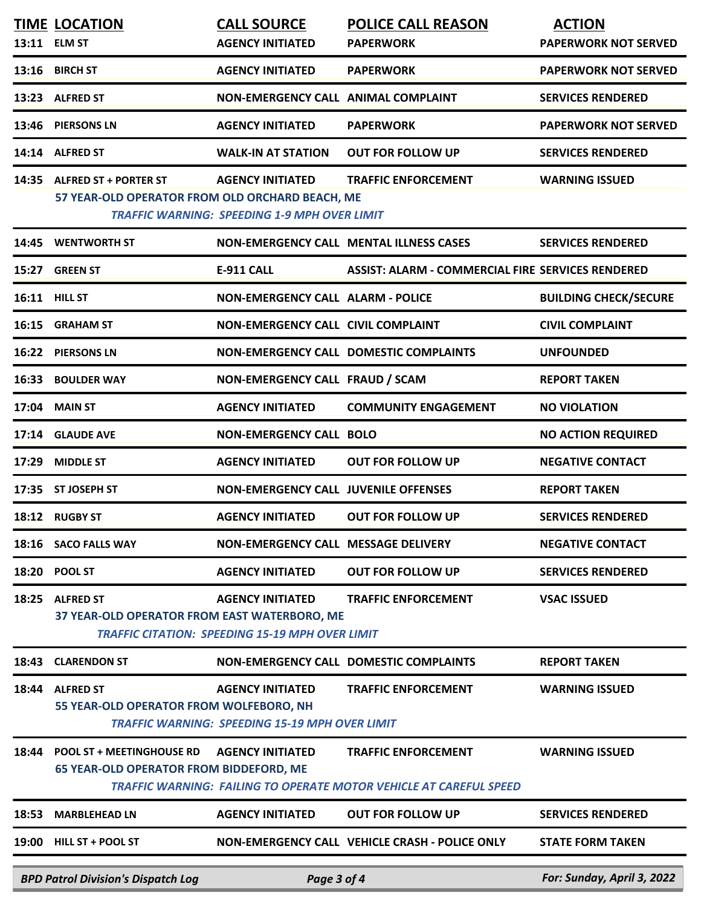|               | <b>BPD Patrol Division's Dispatch Log</b>                                          | Page 3 of 4                                                                       |                                                                                                         | For: Sunday, April 3, 2022                          |
|---------------|------------------------------------------------------------------------------------|-----------------------------------------------------------------------------------|---------------------------------------------------------------------------------------------------------|-----------------------------------------------------|
|               | 19:00 HILL ST + POOL ST                                                            |                                                                                   | NON-EMERGENCY CALL VEHICLE CRASH - POLICE ONLY                                                          | <b>STATE FORM TAKEN</b>                             |
| 18:53         | <b>MARBLEHEAD LN</b>                                                               | <b>AGENCY INITIATED</b>                                                           | <b>OUT FOR FOLLOW UP</b>                                                                                | <b>SERVICES RENDERED</b>                            |
| 18:44         | <b>POOL ST + MEETINGHOUSE RD</b><br><b>65 YEAR-OLD OPERATOR FROM BIDDEFORD, ME</b> | <b>AGENCY INITIATED</b>                                                           | <b>TRAFFIC ENFORCEMENT</b><br><b>TRAFFIC WARNING: FAILING TO OPERATE MOTOR VEHICLE AT CAREFUL SPEED</b> | <b>WARNING ISSUED</b>                               |
| 18:44         | <b>ALFRED ST</b><br>55 YEAR-OLD OPERATOR FROM WOLFEBORO, NH                        | <b>AGENCY INITIATED</b><br><b>TRAFFIC WARNING: SPEEDING 15-19 MPH OVER LIMIT</b>  | <b>TRAFFIC ENFORCEMENT</b>                                                                              | <b>WARNING ISSUED</b>                               |
|               | 18:43 CLARENDON ST                                                                 |                                                                                   | <b>NON-EMERGENCY CALL DOMESTIC COMPLAINTS</b>                                                           | <b>REPORT TAKEN</b>                                 |
| 18:25         | <b>ALFRED ST</b><br>37 YEAR-OLD OPERATOR FROM EAST WATERBORO, ME                   | <b>AGENCY INITIATED</b><br><b>TRAFFIC CITATION: SPEEDING 15-19 MPH OVER LIMIT</b> | <b>TRAFFIC ENFORCEMENT</b>                                                                              | <b>VSAC ISSUED</b>                                  |
|               | 18:20 POOL ST                                                                      | <b>AGENCY INITIATED</b>                                                           | <b>OUT FOR FOLLOW UP</b>                                                                                | <b>SERVICES RENDERED</b>                            |
|               | 18:12 RUGBY ST<br>18:16 SACO FALLS WAY                                             | <b>AGENCY INITIATED</b><br>NON-EMERGENCY CALL MESSAGE DELIVERY                    | <b>OUT FOR FOLLOW UP</b>                                                                                | <b>SERVICES RENDERED</b><br><b>NEGATIVE CONTACT</b> |
|               | 17:35 ST JOSEPH ST                                                                 | <b>NON-EMERGENCY CALL JUVENILE OFFENSES</b>                                       |                                                                                                         | <b>REPORT TAKEN</b>                                 |
| 17:29         | <b>MIDDLE ST</b>                                                                   | <b>AGENCY INITIATED</b>                                                           | <b>OUT FOR FOLLOW UP</b>                                                                                | <b>NEGATIVE CONTACT</b>                             |
|               | 17:14 GLAUDE AVE                                                                   | <b>NON-EMERGENCY CALL BOLO</b>                                                    |                                                                                                         | <b>NO ACTION REQUIRED</b>                           |
| 17:04         | <b>MAIN ST</b>                                                                     | <b>AGENCY INITIATED</b>                                                           | <b>COMMUNITY ENGAGEMENT</b>                                                                             | <b>NO VIOLATION</b>                                 |
| 16:33         | <b>BOULDER WAY</b>                                                                 | NON-EMERGENCY CALL FRAUD / SCAM                                                   |                                                                                                         | <b>REPORT TAKEN</b>                                 |
|               | 16:22 PIERSONS LN                                                                  |                                                                                   | NON-EMERGENCY CALL DOMESTIC COMPLAINTS                                                                  | <b>UNFOUNDED</b>                                    |
|               | 16:15 GRAHAM ST                                                                    | <b>NON-EMERGENCY CALL CIVIL COMPLAINT</b>                                         |                                                                                                         | <b>CIVIL COMPLAINT</b>                              |
| 16:11 HILL ST |                                                                                    | <b>NON-EMERGENCY CALL ALARM - POLICE</b>                                          |                                                                                                         | <b>BUILDING CHECK/SECURE</b>                        |
|               | 15:27 GREEN ST                                                                     | <b>E-911 CALL</b>                                                                 | <b>ASSIST: ALARM - COMMERCIAL FIRE SERVICES RENDERED</b>                                                |                                                     |
|               | 14:45 WENTWORTH ST                                                                 |                                                                                   | NON-EMERGENCY CALL MENTAL ILLNESS CASES                                                                 | <b>SERVICES RENDERED</b>                            |
|               | 57 YEAR-OLD OPERATOR FROM OLD ORCHARD BEACH, ME                                    | <b>TRAFFIC WARNING: SPEEDING 1-9 MPH OVER LIMIT</b>                               |                                                                                                         |                                                     |
|               | 14:35 ALFRED ST + PORTER ST                                                        | <b>AGENCY INITIATED</b>                                                           | <b>TRAFFIC ENFORCEMENT</b>                                                                              | <b>WARNING ISSUED</b>                               |
|               | 14:14 ALFRED ST                                                                    | <b>WALK-IN AT STATION</b>                                                         | <b>OUT FOR FOLLOW UP</b>                                                                                | <b>SERVICES RENDERED</b>                            |
|               | 13:46 PIERSONS LN                                                                  | <b>AGENCY INITIATED</b>                                                           | <b>PAPERWORK</b>                                                                                        | <b>PAPERWORK NOT SERVED</b>                         |
|               | 13:23 ALFRED ST                                                                    | NON-EMERGENCY CALL ANIMAL COMPLAINT                                               |                                                                                                         | <b>SERVICES RENDERED</b>                            |
|               | 13:16 BIRCH ST                                                                     | <b>AGENCY INITIATED</b>                                                           | <b>PAPERWORK</b>                                                                                        | <b>PAPERWORK NOT SERVED</b>                         |
| 13:11 ELM ST  | <b>TIME LOCATION</b>                                                               | <b>CALL SOURCE</b><br><b>AGENCY INITIATED</b>                                     | <b>POLICE CALL REASON</b><br><b>PAPERWORK</b>                                                           | <b>ACTION</b><br><b>PAPERWORK NOT SERVED</b>        |
|               |                                                                                    |                                                                                   |                                                                                                         |                                                     |